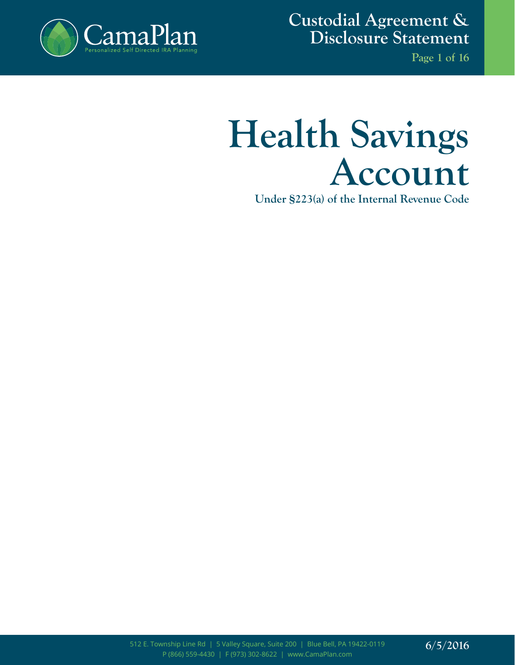

**Custodial Agreement & Disclosure Statement**

**Page 1 of 16**

# **Health Savings Account**

**Under §223(a) of the Internal Revenue Code**

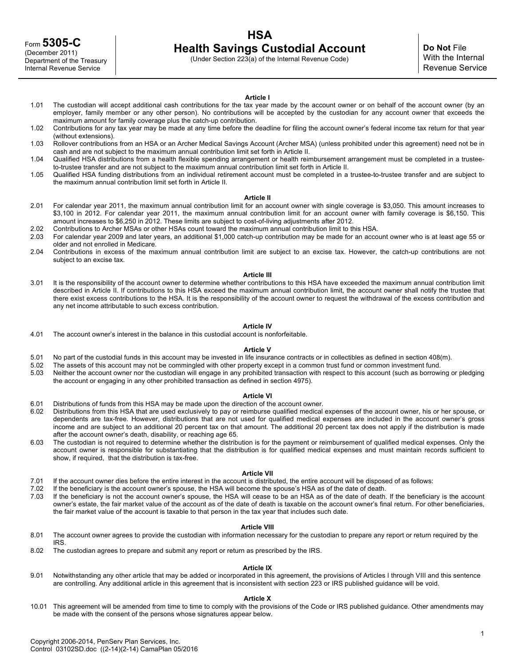# **HSA Health Savings Custodial Account**

(Under Section 223(a) of the Internal Revenue Code)

# **Article I**

- 1.01 The custodian will accept additional cash contributions for the tax year made by the account owner or on behalf of the account owner (by an employer, family member or any other person). No contributions will be accepted by the custodian for any account owner that exceeds the maximum amount for family coverage plus the catch-up contribution.
- 1.02 Contributions for any tax year may be made at any time before the deadline for filing the account owner's federal income tax return for that year (without extensions).
- 1.03 Rollover contributions from an HSA or an Archer Medical Savings Account (Archer MSA) (unless prohibited under this agreement) need not be in cash and are not subject to the maximum annual contribution limit set forth in Article II.
- 1.04 Qualified HSA distributions from a health flexible spending arrangement or health reimbursement arrangement must be completed in a trusteeto-trustee transfer and are not subject to the maximum annual contribution limit set forth in Article II.
- 1.05 Qualified HSA funding distributions from an individual retirement account must be completed in a trustee-to-trustee transfer and are subject to the maximum annual contribution limit set forth in Article II.

# **Article II**

- 2.01 For calendar year 2011, the maximum annual contribution limit for an account owner with single coverage is \$3,050. This amount increases to \$3,100 in 2012. For calendar year 2011, the maximum annual contribution limit for an account owner with family coverage is \$6,150. This amount increases to \$6,250 in 2012. These limits are subject to cost-of-living adjustments after 2012.
- 2.02 Contributions to Archer MSAs or other HSAs count toward the maximum annual contribution limit to this HSA.
- 2.03 For calendar year 2009 and later years, an additional \$1,000 catch-up contribution may be made for an account owner who is at least age 55 or older and not enrolled in Medicare.
- 2.04 Contributions in excess of the maximum annual contribution limit are subject to an excise tax. However, the catch-up contributions are not subject to an excise tax.

#### **Article III**

3.01 It is the responsibility of the account owner to determine whether contributions to this HSA have exceeded the maximum annual contribution limit described in Article II. If contributions to this HSA exceed the maximum annual contribution limit, the account owner shall notify the trustee that there exist excess contributions to the HSA. It is the responsibility of the account owner to request the withdrawal of the excess contribution and any net income attributable to such excess contribution.

#### **Article IV**

4.01 The account owner's interest in the balance in this custodial account is nonforfeitable.

#### **Article V**

- 5.01 No part of the custodial funds in this account may be invested in life insurance contracts or in collectibles as defined in section 408(m).
- 5.02 The assets of this account may not be commingled with other property except in a common trust fund or common investment fund.
- Neither the account owner nor the custodian will engage in any prohibited transaction with respect to this account (such as borrowing or pledging the account or engaging in any other prohibited transaction as defined in section 4975).

#### **Article VI**

- 6.01 Distributions of funds from this HSA may be made upon the direction of the account owner.
- 6.02 Distributions from this HSA that are used exclusively to pay or reimburse qualified medical expenses of the account owner, his or her spouse, or dependents are tax-free. However, distributions that are not used for qualified medical expenses are included in the account owner's gross income and are subject to an additional 20 percent tax on that amount. The additional 20 percent tax does not apply if the distribution is made after the account owner's death, disability, or reaching age 65.
- 6.03 The custodian is not required to determine whether the distribution is for the payment or reimbursement of qualified medical expenses. Only the account owner is responsible for substantiating that the distribution is for qualified medical expenses and must maintain records sufficient to show, if required, that the distribution is tax-free.

#### **Article VII**

- 7.01 If the account owner dies before the entire interest in the account is distributed, the entire account will be disposed of as follows:
- 7.02 If the beneficiary is the account owner's spouse, the HSA will become the spouse's HSA as of the date of death.
- 7.03 If the beneficiary is not the account owner's spouse, the HSA will cease to be an HSA as of the date of death. If the beneficiary is the account owner's estate, the fair market value of the account as of the date of death is taxable on the account owner's final return. For other beneficiaries, the fair market value of the account is taxable to that person in the tax year that includes such date.

#### **Article VIII**

- 8.01 The account owner agrees to provide the custodian with information necessary for the custodian to prepare any report or return required by the IRS.
- 8.02 The custodian agrees to prepare and submit any report or return as prescribed by the IRS.

#### **Article IX**

9.01 Notwithstanding any other article that may be added or incorporated in this agreement, the provisions of Articles I through VIII and this sentence are controlling. Any additional article in this agreement that is inconsistent with section 223 or IRS published guidance will be void.

#### **Article X**

10.01 This agreement will be amended from time to time to comply with the provisions of the Code or IRS published guidance. Other amendments may be made with the consent of the persons whose signatures appear below.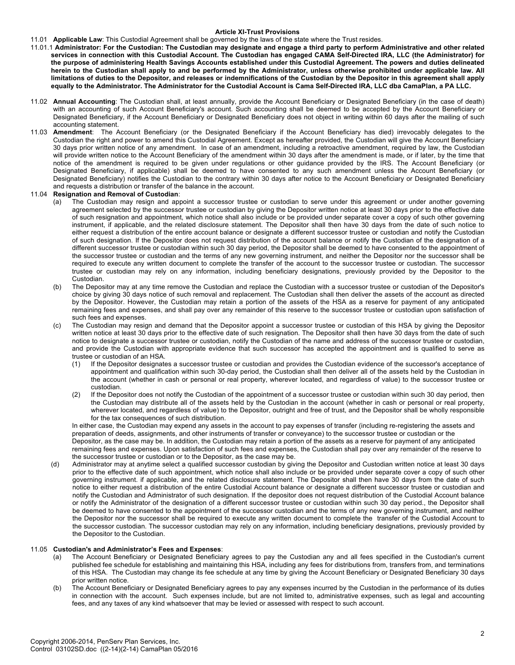# **Article XI-Trust Provisions**

## 11.01 **Applicable Law**: This Custodial Agreement shall be governed by the laws of the state where the Trust resides.

- 11.01.1 **Administrator: For the Custodian: The Custodian may designate and engage a third party to perform Administrative and other related services in connection with this Custodial Account. The Custodian has engaged CAMA Self-Directed IRA, LLC (the Administrator) for the purpose of administering Health Savings Accounts established under this Custodial Agreement. The powers and duties delineated herein to the Custodian shall apply to and be performed by the Administrator, unless otherwise prohibited under applicable law. All limitations of duties to the Depositor, and releases or indemnifications of the Custodian by the Depositor in this agreement shall apply equally to the Administrator. The Administrator for the Custodial Account is Cama Self-Directed IRA, LLC dba CamaPlan, a PA LLC.**
- 11.02 **Annual Accounting**: The Custodian shall, at least annually, provide the Account Beneficiary or Designated Beneficiary (in the case of death) with an accounting of such Account Beneficiary's account. Such accounting shall be deemed to be accepted by the Account Beneficiary or Designated Beneficiary, if the Account Beneficiary or Designated Beneficiary does not object in writing within 60 days after the mailing of such accounting statement.
- 11.03 **Amendment**: The Account Beneficiary (or the Designated Beneficiary if the Account Beneficiary has died) irrevocably delegates to the Custodian the right and power to amend this Custodial Agreement. Except as hereafter provided, the Custodian will give the Account Beneficiary 30 days prior written notice of any amendment. In case of an amendment, including a retroactive amendment, required by law, the Custodian will provide written notice to the Account Beneficiary of the amendment within 30 days after the amendment is made, or if later, by the time that notice of the amendment is required to be given under regulations or other guidance provided by the IRS. The Account Beneficiary (or Designated Beneficiary, if applicable) shall be deemed to have consented to any such amendment unless the Account Beneficiary (or Designated Beneficiary) notifies the Custodian to the contrary within 30 days after notice to the Account Beneficiary or Designated Beneficiary and requests a distribution or transfer of the balance in the account.

## 11.04 **Resignation and Removal of Custodian**:

- (a) The Custodian may resign and appoint a successor trustee or custodian to serve under this agreement or under another governing agreement selected by the successor trustee or custodian by giving the Depositor written notice at least 30 days prior to the effective date of such resignation and appointment, which notice shall also include or be provided under separate cover a copy of such other governing instrument, if applicable, and the related disclosure statement. The Depositor shall then have 30 days from the date of such notice to either request a distribution of the entire account balance or designate a different successor trustee or custodian and notify the Custodian of such designation. If the Depositor does not request distribution of the account balance or notify the Custodian of the designation of a different successor trustee or custodian within such 30 day period, the Depositor shall be deemed to have consented to the appointment of the successor trustee or custodian and the terms of any new governing instrument, and neither the Depositor nor the successor shall be required to execute any written document to complete the transfer of the account to the successor trustee or custodian. The successor trustee or custodian may rely on any information, including beneficiary designations, previously provided by the Depositor to the **Custodian**
- (b) The Depositor may at any time remove the Custodian and replace the Custodian with a successor trustee or custodian of the Depositor's choice by giving 30 days notice of such removal and replacement. The Custodian shall then deliver the assets of the account as directed by the Depositor. However, the Custodian may retain a portion of the assets of the HSA as a reserve for payment of any anticipated remaining fees and expenses, and shall pay over any remainder of this reserve to the successor trustee or custodian upon satisfaction of such fees and expenses.
- (c) The Custodian may resign and demand that the Depositor appoint a successor trustee or custodian of this HSA by giving the Depositor written notice at least 30 days prior to the effective date of such resignation. The Depositor shall then have 30 days from the date of such notice to designate a successor trustee or custodian, notify the Custodian of the name and address of the successor trustee or custodian, and provide the Custodian with appropriate evidence that such successor has accepted the appointment and is qualified to serve as trustee or custodian of an HSA.
	- (1) If the Depositor designates a successor trustee or custodian and provides the Custodian evidence of the successor's acceptance of appointment and qualification within such 30-day period, the Custodian shall then deliver all of the assets held by the Custodian in the account (whether in cash or personal or real property, wherever located, and regardless of value) to the successor trustee or custodian.
	- (2) If the Depositor does not notify the Custodian of the appointment of a successor trustee or custodian within such 30 day period, then the Custodian may distribute all of the assets held by the Custodian in the account (whether in cash or personal or real property, wherever located, and regardless of value) to the Depositor, outright and free of trust, and the Depositor shall be wholly responsible for the tax consequences of such distribution.

In either case, the Custodian may expend any assets in the account to pay expenses of transfer (including re-registering the assets and preparation of deeds, assignments, and other instruments of transfer or conveyance) to the successor trustee or custodian or the Depositor, as the case may be. In addition, the Custodian may retain a portion of the assets as a reserve for payment of any anticipated remaining fees and expenses. Upon satisfaction of such fees and expenses, the Custodian shall pay over any remainder of the reserve to the successor trustee or custodian or to the Depositor, as the case may be.

(d) Administrator may at anytime select a qualified successor custodian by giving the Depositor and Custodian written notice at least 30 days prior to the effective date of such appointment, which notice shall also include or be provided under separate cover a copy of such other governing instrument. if applicable, and the related disclosure statement. The Depositor shall then have 30 days from the date of such notice to either request a distribution of the entire Custodial Account balance or designate a different successor trustee or custodian and notify the Custodian and Administrator of such designation. If the depositor does not request distribution of the Custodial Account balance or notify the Administrator of the designation of a different successor trustee or custodian within such 30 day period., the Depositor shall be deemed to have consented to the appointment of the successor custodian and the terms of any new governing instrument, and neither the Depositor nor the successor shall be required to execute any written document to complete the transfer of the Custodial Account to the successor custodian. The successor custodian may rely on any information, including beneficiary designations, previously provided by the Depositor to the Custodian.

#### 11.05 **Custodian's and Administrator's Fees and Expenses**:

- (a) The Account Beneficiary or Designated Beneficiary agrees to pay the Custodian any and all fees specified in the Custodian's current published fee schedule for establishing and maintaining this HSA, including any fees for distributions from, transfers from, and terminations of this HSA. The Custodian may change its fee schedule at any time by giving the Account Beneficiary or Designated Beneficiary 30 days prior written notice.
- (b) The Account Beneficiary or Designated Beneficiary agrees to pay any expenses incurred by the Custodian in the performance of its duties in connection with the account. Such expenses include, but are not limited to, administrative expenses, such as legal and accounting fees, and any taxes of any kind whatsoever that may be levied or assessed with respect to such account.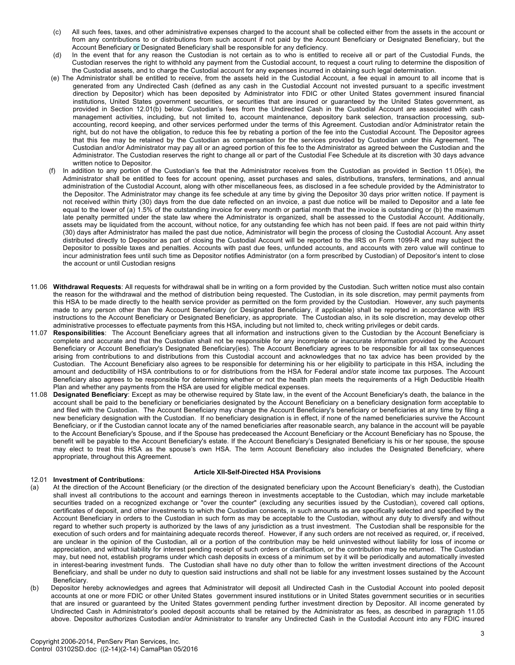- (c) All such fees, taxes, and other administrative expenses charged to the account shall be collected either from the assets in the account or from any contributions to or distributions from such account if not paid by the Account Beneficiary or Designated Beneficiary, but the Account Beneficiary or Designated Beneficiary shall be responsible for any deficiency.
- (d) In the event that for any reason the Custodian is not certain as to who is entitled to receive all or part of the Custodial Funds, the Custodian reserves the right to withhold any payment from the Custodial account, to request a court ruling to determine the disposition of the Custodial assets, and to charge the Custodial account for any expenses incurred in obtaining such legal determination.
- (e) The Administrator shall be entitled to receive, from the assets held in the Custodial Account, a fee equal in amount to all income that is generated from any Undirected Cash (defined as any cash in the Custodial Account not invested pursuant to a specific investment direction by Depositor) which has been deposited by Administrator into FDIC or other United States government insured financial institutions, United States government securities, or securities that are insured or guaranteed by the United States government, as provided in Section 12.01(b) below. Custodian's fees from the Undirected Cash in the Custodial Account are associated with cash management activities, including, but not limited to, account maintenance, depository bank selection, transaction processing, subaccounting, record keeping, and other services performed under the terms of this Agreement. Custodian and/or Administrator retain the right, but do not have the obligation, to reduce this fee by rebating a portion of the fee into the Custodial Account. The Depositor agrees that this fee may be retained by the Custodian as compensation for the services provided by Custodian under this Agreement. The Custodian and/or Administrator may pay all or an agreed portion of this fee to the Administrator as agreed between the Custodian and the Administrator. The Custodian reserves the right to change all or part of the Custodial Fee Schedule at its discretion with 30 days advance written notice to Depositor.
- (f) In addition to any portion of the Custodian's fee that the Administrator receives from the Custodian as provided in Section 11.05(e), the Administrator shall be entitled to fees for account opening, asset purchases and sales, distributions, transfers, terminations, and annual administration of the Custodial Account, along with other miscellaneous fees, as disclosed in a fee schedule provided by the Administrator to the Depositor. The Administrator may change its fee schedule at any time by giving the Depositor 30 days prior written notice. If payment is not received within thirty (30) days from the due date reflected on an invoice, a past due notice will be mailed to Depositor and a late fee equal to the lower of (a) 1.5% of the outstanding invoice for every month or partial month that the invoice is outstanding or (b) the maximum late penalty permitted under the state law where the Administrator is organized, shall be assessed to the Custodial Account. Additionally, assets may be liquidated from the account, without notice, for any outstanding fee which has not been paid. If fees are not paid within thirty (30) days after Administrator has mailed the past due notice, Administrator will begin the process of closing the Custodial Account. Any asset distributed directly to Depositor as part of closing the Custodial Account will be reported to the IRS on Form 1099-R and may subject the Depositor to possible taxes and penalties. Accounts with past due fees, unfunded accounts, and accounts with zero value will continue to incur administration fees until such time as Depositor notifies Administrator (on a form prescribed by Custodian) of Depositor's intent to close the account or until Custodian resigns
- 11.06 **Withdrawal Requests**: All requests for withdrawal shall be in writing on a form provided by the Custodian. Such written notice must also contain the reason for the withdrawal and the method of distribution being requested. The Custodian, in its sole discretion, may permit payments from this HSA to be made directly to the health service provider as permitted on the form provided by the Custodian. However, any such payments made to any person other than the Account Beneficiary (or Designated Beneficiary, if applicable) shall be reported in accordance with IRS instructions to the Account Beneficiary or Designated Beneficiary, as appropriate. The Custodian also, in its sole discretion, may develop other administrative processes to effectuate payments from this HSA, including but not limited to, check writing privileges or debit cards.
- 11.07 **Responsibilities**: The Account Beneficiary agrees that all information and instructions given to the Custodian by the Account Beneficiary is complete and accurate and that the Custodian shall not be responsible for any incomplete or inaccurate information provided by the Account Beneficiary or Account Beneficiary's Designated Beneficiary(ies). The Account Beneficiary agrees to be responsible for all tax consequences arising from contributions to and distributions from this Custodial account and acknowledges that no tax advice has been provided by the Custodian. The Account Beneficiary also agrees to be responsible for determining his or her eligibility to participate in this HSA, including the amount and deductibility of HSA contributions to or for distributions from the HSA for Federal and/or state income tax purposes. The Account Beneficiary also agrees to be responsible for determining whether or not the health plan meets the requirements of a High Deductible Health Plan and whether any payments from the HSA are used for eligible medical expenses.
- 11.08 **Designated Beneficiary**: Except as may be otherwise required by State law, in the event of the Account Beneficiary's death, the balance in the account shall be paid to the beneficiary or beneficiaries designated by the Account Beneficiary on a beneficiary designation form acceptable to and filed with the Custodian. The Account Beneficiary may change the Account Beneficiary's beneficiary or beneficiaries at any time by filing a new beneficiary designation with the Custodian. If no beneficiary designation is in effect, if none of the named beneficiaries survive the Account Beneficiary, or if the Custodian cannot locate any of the named beneficiaries after reasonable search, any balance in the account will be payable to the Account Beneficiary's Spouse, and if the Spouse has predeceased the Account Beneficiary or the Account Beneficiary has no Spouse, the benefit will be payable to the Account Beneficiary's estate. If the Account Beneficiary's Designated Beneficiary is his or her spouse, the spouse may elect to treat this HSA as the spouse's own HSA. The term Account Beneficiary also includes the Designated Beneficiary, where appropriate, throughout this Agreement.

# **Article XII-Self-Directed HSA Provisions**

- 12.01 **Investment of Contributions**: (a) At the direction of the Account Beneficiary (or the direction of the designated beneficiary upon the Account Beneficiary's death), the Custodian shall invest all contributions to the account and earnings thereon in investments acceptable to the Custodian, which may include marketable securities traded on a recognized exchange or "over the counter" (excluding any securities issued by the Custodian), covered call options, certificates of deposit, and other investments to which the Custodian consents, in such amounts as are specifically selected and specified by the Account Beneficiary in orders to the Custodian in such form as may be acceptable to the Custodian, without any duty to diversify and without regard to whether such property is authorized by the laws of any jurisdiction as a trust investment. The Custodian shall be responsible for the execution of such orders and for maintaining adequate records thereof. However, if any such orders are not received as required, or, if received, are unclear in the opinion of the Custodian, all or a portion of the contribution may be held uninvested without liability for loss of income or appreciation, and without liability for interest pending receipt of such orders or clarification, or the contribution may be returned. The Custodian may, but need not, establish programs under which cash deposits in excess of a minimum set by it will be periodically and automatically invested in interest-bearing investment funds. The Custodian shall have no duty other than to follow the written investment directions of the Account Beneficiary, and shall be under no duty to question said instructions and shall not be liable for any investment losses sustained by the Account Beneficiary.
- (b) Depositor hereby acknowledges and agrees that Administrator will deposit all Undirected Cash in the Custodial Account into pooled deposit accounts at one or more FDIC or other United States government insured institutions or in United States government securities or in securities that are insured or guaranteed by the United States government pending further investment direction by Depositor. All income generated by Undirected Cash in Administrator's pooled deposit accounts shall be retained by the Administrator as fees, as described in paragraph 11.05 above. Depositor authorizes Custodian and/or Administrator to transfer any Undirected Cash in the Custodial Account into any FDIC insured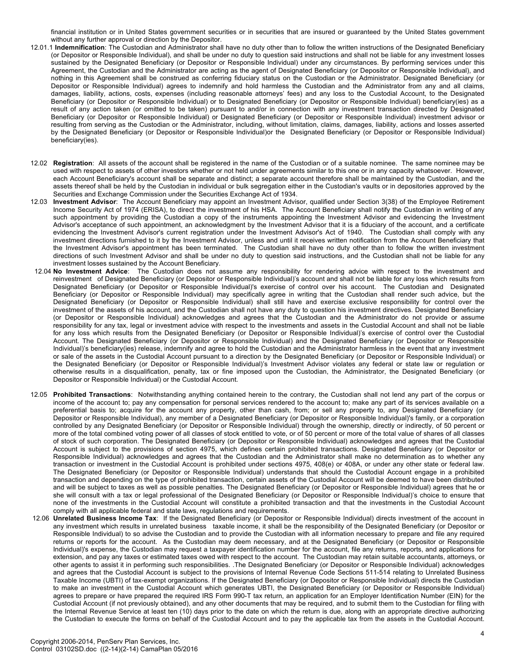financial institution or in United States government securities or in securities that are insured or guaranteed by the United States government without any further approval or direction by the Depositor.

- 12.01.1 **Indemnification**: The Custodian and Administrator shall have no duty other than to follow the written instructions of the Designated Beneficiary (or Depositor or Responsible Individual), and shall be under no duty to question said instructions and shall not be liable for any investment losses sustained by the Designated Beneficiary (or Depositor or Responsible Individual) under any circumstances. By performing services under this Agreement, the Custodian and the Administrator are acting as the agent of Designated Beneficiary (or Depositor or Responsible Individual), and nothing in this Agreement shall be construed as conferring fiduciary status on the Custodian or the Administrator. Designated Beneficiary (or Depositor or Responsible Individual) agrees to indemnify and hold harmless the Custodian and the Administrator from any and all claims, damages, liability, actions, costs, expenses (including reasonable attorneys' fees) and any loss to the Custodial Account, to the Designated Beneficiary (or Depositor or Responsible Individual) or to Designated Beneficiary (or Depositor or Responsible Individual) beneficiary(ies) as a result of any action taken (or omitted to be taken) pursuant to and/or in connection with any investment transaction directed by Designated Beneficiary (or Depositor or Responsible Individual) or Designated Beneficiary (or Depositor or Responsible Individual) investment advisor or resulting from serving as the Custodian or the Administrator, including, without limitation, claims, damages, liability, actions and losses asserted by the Designated Beneficiary (or Depositor or Responsible Individual)or the Designated Beneficiary (or Depositor or Responsible Individual) beneficiary(ies).
- 12.02 **Registration**: All assets of the account shall be registered in the name of the Custodian or of a suitable nominee. The same nominee may be used with respect to assets of other investors whether or not held under agreements similar to this one or in any capacity whatsoever. However, each Account Beneficiary's account shall be separate and distinct; a separate account therefore shall be maintained by the Custodian, and the assets thereof shall be held by the Custodian in individual or bulk segregation either in the Custodian's vaults or in depositories approved by the Securities and Exchange Commission under the Securities Exchange Act of 1934.
- 12.03 **Investment Advisor**: The Account Beneficiary may appoint an Investment Advisor, qualified under Section 3(38) of the Employee Retirement Income Security Act of 1974 (ERISA), to direct the investment of his HSA. The Account Beneficiary shall notify the Custodian in writing of any such appointment by providing the Custodian a copy of the instruments appointing the Investment Advisor and evidencing the Investment Advisor's acceptance of such appointment, an acknowledgment by the Investment Advisor that it is a fiduciary of the account, and a certificate evidencing the Investment Advisor's current registration under the Investment Advisor's Act of 1940. The Custodian shall comply with any investment directions furnished to it by the Investment Advisor, unless and until it receives written notification from the Account Beneficiary that the Investment Advisor's appointment has been terminated. The Custodian shall have no duty other than to follow the written investment directions of such Investment Advisor and shall be under no duty to question said instructions, and the Custodian shall not be liable for any investment losses sustained by the Account Beneficiary.
- 12.04 **No Investment Advice**: The Custodian does not assume any responsibility for rendering advice with respect to the investment and reinvestment of Designated Beneficiary (or Depositor or Responsible Individual)'s account and shall not be liable for any loss which results from Designated Beneficiary (or Depositor or Responsible Individual)'s exercise of control over his account. The Custodian and Designated Beneficiary (or Depositor or Responsible Individual) may specifically agree in writing that the Custodian shall render such advice, but the Designated Beneficiary (or Depositor or Responsible Individual) shall still have and exercise exclusive responsibility for control over the investment of the assets of his account, and the Custodian shall not have any duty to question his investment directives. Designated Beneficiary (or Depositor or Responsible Individual) acknowledges and agrees that the Custodian and the Administrator do not provide or assume responsibility for any tax, legal or investment advice with respect to the investments and assets in the Custodial Account and shall not be liable for any loss which results from the Designated Beneficiary (or Depositor or Responsible Individual)'s exercise of control over the Custodial Account. The Designated Beneficiary (or Depositor or Responsible Individual) and the Designated Beneficiary (or Depositor or Responsible Individual)'s beneficiary(ies) release, indemnify and agree to hold the Custodian and the Administrator harmless in the event that any investment or sale of the assets in the Custodial Account pursuant to a direction by the Designated Beneficiary (or Depositor or Responsible Individual) or the Designated Beneficiary (or Depositor or Responsible Individual)'s Investment Advisor violates any federal or state law or regulation or otherwise results in a disqualification, penalty, tax or fine imposed upon the Custodian, the Administrator, the Designated Beneficiary (or Depositor or Responsible Individual) or the Custodial Account.
- 12.05 **Prohibited Transactions**: Notwithstanding anything contained herein to the contrary, the Custodian shall not lend any part of the corpus or income of the account to; pay any compensation for personal services rendered to the account to; make any part of its services available on a preferential basis to; acquire for the account any property, other than cash, from; or sell any property to, any Designated Beneficiary (or Depositor or Responsible Individual), any member of a Designated Beneficiary (or Depositor or Responsible Individual)'s family, or a corporation controlled by any Designated Beneficiary (or Depositor or Responsible Individual) through the ownership, directly or indirectly, of 50 percent or more of the total combined voting power of all classes of stock entitled to vote, or of 50 percent or more of the total value of shares of all classes of stock of such corporation. The Designated Beneficiary (or Depositor or Responsible Individual) acknowledges and agrees that the Custodial Account is subject to the provisions of section 4975, which defines certain prohibited transactions. Designated Beneficiary (or Depositor or Responsible Individual) acknowledges and agrees that the Custodian and the Administrator shall make no determination as to whether any transaction or investment in the Custodial Account is prohibited under sections 4975, 408(e) or 408A, or under any other state or federal law. The Designated Beneficiary (or Depositor or Responsible Individual) understands that should the Custodial Account engage in a prohibited transaction and depending on the type of prohibited transaction, certain assets of the Custodial Account will be deemed to have been distributed and will be subject to taxes as well as possible penalties. The Designated Beneficiary (or Depositor or Responsible Individual) agrees that he or she will consult with a tax or legal professional of the Designated Beneficiary (or Depositor or Responsible Individual)'s choice to ensure that none of the investments in the Custodial Account will constitute a prohibited transaction and that the investments in the Custodial Account comply with all applicable federal and state laws, regulations and requirements.
- 12.06 **Unrelated Business Income Tax**: If the Designated Beneficiary (or Depositor or Responsible Individual) directs investment of the account in any investment which results in unrelated business taxable income, it shall be the responsibility of the Designated Beneficiary (or Depositor or Responsible Individual) to so advise the Custodian and to provide the Custodian with all information necessary to prepare and file any required returns or reports for the account. As the Custodian may deem necessary, and at the Designated Beneficiary (or Depositor or Responsible Individual)'s expense, the Custodian may request a taxpayer identification number for the account, file any returns, reports, and applications for extension, and pay any taxes or estimated taxes owed with respect to the account. The Custodian may retain suitable accountants, attorneys, or other agents to assist it in performing such responsibilities. .The Designated Beneficiary (or Depositor or Responsible Individual) acknowledges and agrees that the Custodial Account is subject to the provisions of Internal Revenue Code Sections 511-514 relating to Unrelated Business Taxable Income (UBTI) of tax-exempt organizations. If the Designated Beneficiary (or Depositor or Responsible Individual) directs the Custodian to make an investment in the Custodial Account which generates UBTI, the Designated Beneficiary (or Depositor or Responsible Individual) agrees to prepare or have prepared the required IRS Form 990-T tax return, an application for an Employer Identification Number (EIN) for the Custodial Account (if not previously obtained), and any other documents that may be required, and to submit them to the Custodian for filing with the Internal Revenue Service at least ten (10) days prior to the date on which the return is due, along with an appropriate directive authorizing the Custodian to execute the forms on behalf of the Custodial Account and to pay the applicable tax from the assets in the Custodial Account.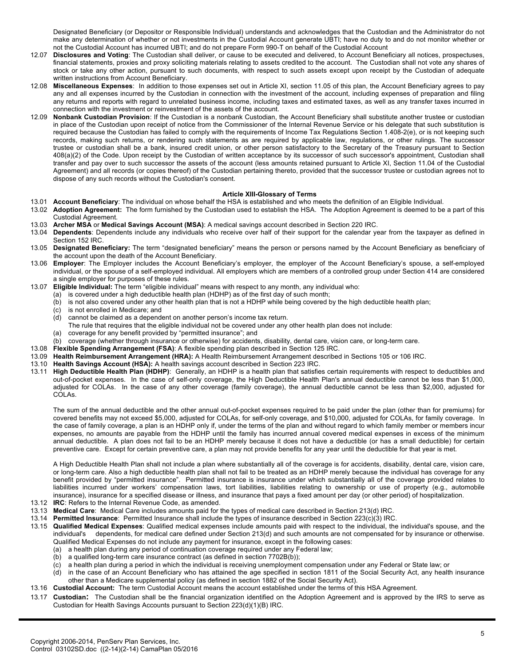Designated Beneficiary (or Depositor or Responsible Individual) understands and acknowledges that the Custodian and the Administrator do not make any determination of whether or not investments in the Custodial Account generate UBTI; have no duty to and do not monitor whether or not the Custodial Account has incurred UBTI; and do not prepare Form 990-T on behalf of the Custodial Account

- 12.07 **Disclosures and Voting**: The Custodian shall deliver, or cause to be executed and delivered, to Account Beneficiary all notices, prospectuses, financial statements, proxies and proxy soliciting materials relating to assets credited to the account. The Custodian shall not vote any shares of stock or take any other action, pursuant to such documents, with respect to such assets except upon receipt by the Custodian of adequate written instructions from Account Beneficiary.
- 12.08 **Miscellaneous Expenses**: In addition to those expenses set out in Article XI, section 11.05 of this plan, the Account Beneficiary agrees to pay any and all expenses incurred by the Custodian in connection with the investment of the account, including expenses of preparation and filing any returns and reports with regard to unrelated business income, including taxes and estimated taxes, as well as any transfer taxes incurred in connection with the investment or reinvestment of the assets of the account.
- 12.09 **Nonbank Custodian Provision**: If the Custodian is a nonbank Custodian, the Account Beneficiary shall substitute another trustee or custodian in place of the Custodian upon receipt of notice from the Commissioner of the Internal Revenue Service or his delegate that such substitution is required because the Custodian has failed to comply with the requirements of Income Tax Regulations Section 1.408-2(e), or is not keeping such records, making such returns, or rendering such statements as are required by applicable law, regulations, or other rulings. The successor trustee or custodian shall be a bank, insured credit union, or other person satisfactory to the Secretary of the Treasury pursuant to Section 408(a)(2) of the Code. Upon receipt by the Custodian of written acceptance by its successor of such successor's appointment, Custodian shall transfer and pay over to such successor the assets of the account (less amounts retained pursuant to Article XI, Section 11.04 of the Custodial Agreement) and all records (or copies thereof) of the Custodian pertaining thereto, provided that the successor trustee or custodian agrees not to dispose of any such records without the Custodian's consent.

# **Article XIII-Glossary of Terms**

- 13.01 **Account Beneficiary**: The individual on whose behalf the HSA is established and who meets the definition of an Eligible Individual.
- 13.02 **Adoption Agreement:** The form furnished by the Custodian used to establish the HSA. The Adoption Agreement is deemed to be a part of this Custodial Agreement.
- 13.03 **Archer MSA** or **Medical Savings Account (MSA)**: A medical savings account described in Section 220 IRC.
- 13.04 **Dependents**: Dependents include any individuals who receive over half of their support for the calendar year from the taxpayer as defined in Section 152 IRC.
- 13.05 **Designated Beneficiary:** The term "designated beneficiary" means the person or persons named by the Account Beneficiary as beneficiary of the account upon the death of the Account Beneficiary.
- 13.06 **Employer**: The Employer includes the Account Beneficiary's employer, the employer of the Account Beneficiary's spouse, a self-employed individual, or the spouse of a self-employed individual. All employers which are members of a controlled group under Section 414 are considered a single employer for purposes of these rules.
- 13.07 **Eligible Individual:** The term "eligible individual" means with respect to any month, any individual who:
	- (a) is covered under a high deductible health plan (HDHP) as of the first day of such month;
	- (b) is not also covered under any other health plan that is not a HDHP while being covered by the high deductible health plan;
	- (c) is not enrolled in Medicare; and
	- (d) cannot be claimed as a dependent on another person's income tax return.
	- The rule that requires that the eligible individual not be covered under any other health plan does not include:
	- (a) coverage for any benefit provided by "permitted insurance"; and
	- (b) coverage (whether through insurance or otherwise) for accidents, disability, dental care, vision care, or long-term care.
- 13.08 **Flexible Spending Arrangement (FSA)**: A flexible spending plan described in Section 125 IRC.
- 13.09 **Health Reimbursement Arrangement (HRA):** A Health Reimbursement Arrangement described in Sections 105 or 106 IRC.
- 13.10 **Health Savings Account (HSA):** A health savings account described in Section 223 IRC.
- 13.11 **High Deductible Health Plan (HDHP)**: Generally, an HDHP is a health plan that satisfies certain requirements with respect to deductibles and out-of-pocket expenses. In the case of self-only coverage, the High Deductible Health Plan's annual deductible cannot be less than \$1,000, adjusted for COLAs. In the case of any other coverage (family coverage), the annual deductible cannot be less than \$2,000, adjusted for COLAs.

The sum of the annual deductible and the other annual out-of-pocket expenses required to be paid under the plan (other than for premiums) for covered benefits may not exceed \$5,000, adjusted for COLAs, for self-only coverage, and \$10,000, adjusted for COLAs, for family coverage. In the case of family coverage, a plan is an HDHP only if, under the terms of the plan and without regard to which family member or members incur expenses, no amounts are payable from the HDHP until the family has incurred annual covered medical expenses in excess of the minimum annual deductible. A plan does not fail to be an HDHP merely because it does not have a deductible (or has a small deductible) for certain preventive care. Except for certain preventive care, a plan may not provide benefits for any year until the deductible for that year is met.

A High Deductible Health Plan shall not include a plan where substantially all of the coverage is for accidents, disability, dental care, vision care, or long-term care. Also a high deductible health plan shall not fail to be treated as an HDHP merely because the individual has coverage for any benefit provided by "permitted insurance". Permitted insurance is insurance under which substantially all of the coverage provided relates to liabilities incurred under workers' compensation laws, tort liabilities, liabilities relating to ownership or use of property (e.g., automobile insurance), insurance for a specified disease or illness, and insurance that pays a fixed amount per day (or other period) of hospitalization.

- 13.12 **IRC**: Refers to the Internal Revenue Code, as amended.
- 13.13 **Medical Care**: Medical Care includes amounts paid for the types of medical care described in Section 213(d) IRC.
- 13.14 **Permitted Insurance**: Permitted Insurance shall include the types of insurance described in Section 223(c)(3) IRC.
- 13.15 **Qualified Medical Expenses**: Qualified medical expenses include amounts paid with respect to the individual, the individual's spouse, and the individual's dependents, for medical care defined under Section 213(d) and such amounts are not compensated for by insurance or otherwise. Qualified Medical Expenses do not include any payment for insurance, except in the following cases:
	- (a) a health plan during any period of continuation coverage required under any Federal law; (b) a qualified long-term care insurance contract (as defined in section 7702B(b));
	- (c) a health plan during a period in which the individual is receiving unemployment compensation under any Federal or State law; or
	- (d) in the case of an Account Beneficiary who has attained the age specified in section 1811 of the Social Security Act, any health insurance other than a Medicare supplemental policy (as defined in section 1882 of the Social Security Act).
- 13.16 **Custodial Account:** The term Custodial Account means the account established under the terms of this HSA Agreement.
- 13.17 **Custodian:** The Custodian shall be the financial organization identified on the Adoption Agreement and is approved by the IRS to serve as Custodian for Health Savings Accounts pursuant to Section 223(d)(1)(B) IRC.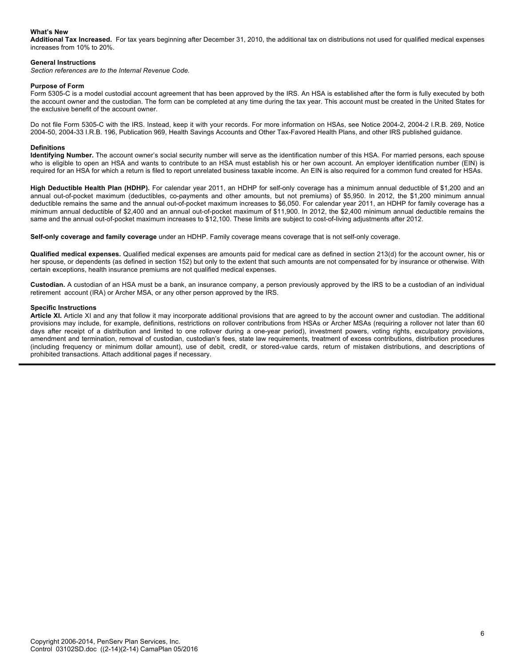# **What's New**

**Additional Tax Increased.** For tax years beginning after December 31, 2010, the additional tax on distributions not used for qualified medical expenses increases from 10% to 20%.

## **General Instructions**

*Section references are to the Internal Revenue Code.*

## **Purpose of Form**

Form 5305-C is a model custodial account agreement that has been approved by the IRS. An HSA is established after the form is fully executed by both the account owner and the custodian. The form can be completed at any time during the tax year. This account must be created in the United States for the exclusive benefit of the account owner.

Do not file Form 5305-C with the IRS. Instead, keep it with your records. For more information on HSAs, see Notice 2004-2, 2004-2 I.R.B. 269, Notice 2004-50, 2004-33 I.R.B. 196, Publication 969, Health Savings Accounts and Other Tax-Favored Health Plans, and other IRS published guidance.

#### **Definitions**

**Identifying Number.** The account owner's social security number will serve as the identification number of this HSA. For married persons, each spouse who is eligible to open an HSA and wants to contribute to an HSA must establish his or her own account. An employer identification number (EIN) is required for an HSA for which a return is filed to report unrelated business taxable income. An EIN is also required for a common fund created for HSAs.

**High Deductible Health Plan (HDHP).** For calendar year 2011, an HDHP for self-only coverage has a minimum annual deductible of \$1,200 and an annual out-of-pocket maximum (deductibles, co-payments and other amounts, but not premiums) of \$5,950. In 2012, the \$1,200 minimum annual deductible remains the same and the annual out-of-pocket maximum increases to \$6,050. For calendar year 2011, an HDHP for family coverage has a minimum annual deductible of \$2,400 and an annual out-of-pocket maximum of \$11,900. In 2012, the \$2,400 minimum annual deductible remains the same and the annual out-of-pocket maximum increases to \$12,100. These limits are subject to cost-of-living adjustments after 2012.

**Self-only coverage and family coverage** under an HDHP. Family coverage means coverage that is not self-only coverage.

**Qualified medical expenses.** Qualified medical expenses are amounts paid for medical care as defined in section 213(d) for the account owner, his or her spouse, or dependents (as defined in section 152) but only to the extent that such amounts are not compensated for by insurance or otherwise. With certain exceptions, health insurance premiums are not qualified medical expenses.

**Custodian.** A custodian of an HSA must be a bank, an insurance company, a person previously approved by the IRS to be a custodian of an individual retirement account (IRA) or Archer MSA, or any other person approved by the IRS.

#### **Specific Instructions**

**Article XI.** Article XI and any that follow it may incorporate additional provisions that are agreed to by the account owner and custodian. The additional provisions may include, for example, definitions, restrictions on rollover contributions from HSAs or Archer MSAs (requiring a rollover not later than 60 days after receipt of a distribution and limited to one rollover during a one-year period), investment powers, voting rights, exculpatory provisions, amendment and termination, removal of custodian, custodian's fees, state law requirements, treatment of excess contributions, distribution procedures (including frequency or minimum dollar amount), use of debit, credit, or stored-value cards, return of mistaken distributions, and descriptions of prohibited transactions. Attach additional pages if necessary.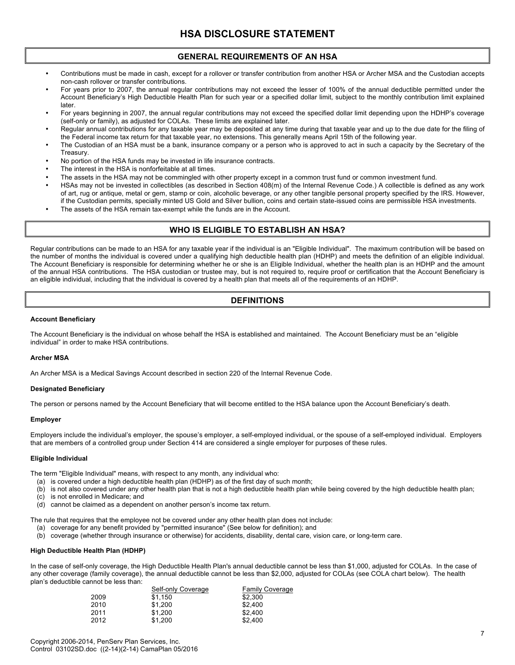# **GENERAL REQUIREMENTS OF AN HSA**

- Contributions must be made in cash, except for a rollover or transfer contribution from another HSA or Archer MSA and the Custodian accepts non-cash rollover or transfer contributions.
- For years prior to 2007, the annual regular contributions may not exceed the lesser of 100% of the annual deductible permitted under the Account Beneficiary's High Deductible Health Plan for such year or a specified dollar limit, subject to the monthly contribution limit explained later.
- For years beginning in 2007, the annual regular contributions may not exceed the specified dollar limit depending upon the HDHP's coverage (self-only or family), as adjusted for COLAs. These limits are explained later.
- Regular annual contributions for any taxable year may be deposited at any time during that taxable year and up to the due date for the filing of the Federal income tax return for that taxable year, no extensions. This generally means April 15th of the following year.
- The Custodian of an HSA must be a bank, insurance company or a person who is approved to act in such a capacity by the Secretary of the Treasury.
- No portion of the HSA funds may be invested in life insurance contracts.
- The interest in the HSA is nonforfeitable at all times.
- The assets in the HSA may not be commingled with other property except in a common trust fund or common investment fund.
- HSAs may not be invested in collectibles (as described in Section 408(m) of the Internal Revenue Code.) A collectible is defined as any work of art, rug or antique, metal or gem, stamp or coin, alcoholic beverage, or any other tangible personal property specified by the IRS. However, if the Custodian permits, specially minted US Gold and Silver bullion, coins and certain state-issued coins are permissible HSA investments.
- The assets of the HSA remain tax-exempt while the funds are in the Account.

# **WHO IS ELIGIBLE TO ESTABLISH AN HSA?**

Regular contributions can be made to an HSA for any taxable year if the individual is an "Eligible Individual". The maximum contribution will be based on the number of months the individual is covered under a qualifying high deductible health plan (HDHP) and meets the definition of an eligible individual. The Account Beneficiary is responsible for determining whether he or she is an Eligible Individual, whether the health plan is an HDHP and the amount of the annual HSA contributions. The HSA custodian or trustee may, but is not required to, require proof or certification that the Account Beneficiary is an eligible individual, including that the individual is covered by a health plan that meets all of the requirements of an HDHP.

# **DEFINITIONS**

## **Account Beneficiary**

The Account Beneficiary is the individual on whose behalf the HSA is established and maintained. The Account Beneficiary must be an "eligible individual" in order to make HSA contributions.

# **Archer MSA**

An Archer MSA is a Medical Savings Account described in section 220 of the Internal Revenue Code.

#### **Designated Beneficiary**

The person or persons named by the Account Beneficiary that will become entitled to the HSA balance upon the Account Beneficiary's death.

# **Employer**

Employers include the individual's employer, the spouse's employer, a self-employed individual, or the spouse of a self-employed individual. Employers that are members of a controlled group under Section 414 are considered a single employer for purposes of these rules.

#### **Eligible Individual**

The term "Eligible Individual" means, with respect to any month, any individual who:

- (a) is covered under a high deductible health plan (HDHP) as of the first day of such month;
- (b) is not also covered under any other health plan that is not a high deductible health plan while being covered by the high deductible health plan;
- (c) is not enrolled in Medicare; and
- (d) cannot be claimed as a dependent on another person's income tax return.

The rule that requires that the employee not be covered under any other health plan does not include:

- (a) coverage for any benefit provided by "permitted insurance" (See below for definition); and
- (b) coverage (whether through insurance or otherwise) for accidents, disability, dental care, vision care, or long-term care.

# **High Deductible Health Plan (HDHP)**

In the case of self-only coverage, the High Deductible Health Plan's annual deductible cannot be less than \$1,000, adjusted for COLAs. In the case of any other coverage (family coverage), the annual deductible cannot be less than \$2,000, adjusted for COLAs (see COLA chart below). The health plan's deductible cannot be less than:

|      | Self-only Coverage | <b>Family Coverage</b> |
|------|--------------------|------------------------|
| 2009 | \$1.150            | \$2,300                |
| 2010 | \$1.200            | \$2.400                |
| 2011 | \$1.200            | \$2.400                |
| 2012 | \$1.200            | \$2.400                |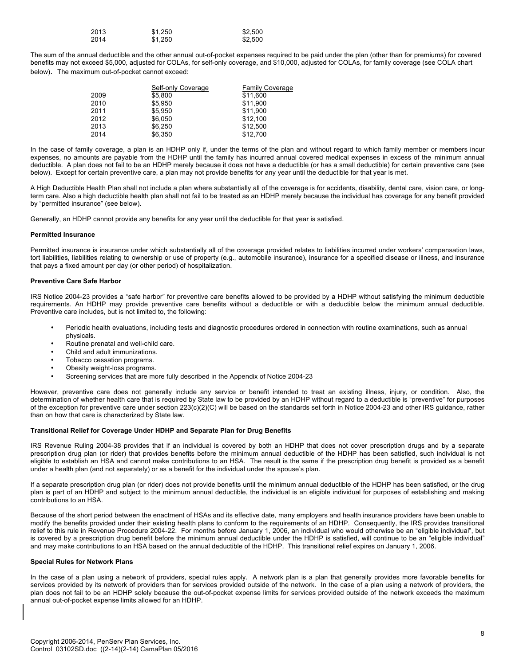| 2013 | \$1.250 | \$2,500 |
|------|---------|---------|
| 2014 | \$1.250 | \$2,500 |

The sum of the annual deductible and the other annual out-of-pocket expenses required to be paid under the plan (other than for premiums) for covered benefits may not exceed \$5,000, adjusted for COLAs, for self-only coverage, and \$10,000, adjusted for COLAs, for family coverage (see COLA chart below). The maximum out-of-pocket cannot exceed:

|      | Self-only Coverage | <b>Family Coverage</b> |
|------|--------------------|------------------------|
| 2009 | \$5,800            | \$11,600               |
| 2010 | \$5.950            | \$11.900               |
| 2011 | \$5.950            | \$11.900               |
| 2012 | \$6.050            | \$12.100               |
| 2013 | \$6,250            | \$12,500               |
| 2014 | \$6.350            | \$12,700               |

In the case of family coverage, a plan is an HDHP only if, under the terms of the plan and without regard to which family member or members incur expenses, no amounts are payable from the HDHP until the family has incurred annual covered medical expenses in excess of the minimum annual deductible. A plan does not fail to be an HDHP merely because it does not have a deductible (or has a small deductible) for certain preventive care (see below). Except for certain preventive care, a plan may not provide benefits for any year until the deductible for that year is met.

A High Deductible Health Plan shall not include a plan where substantially all of the coverage is for accidents, disability, dental care, vision care, or longterm care. Also a high deductible health plan shall not fail to be treated as an HDHP merely because the individual has coverage for any benefit provided by "permitted insurance" (see below).

Generally, an HDHP cannot provide any benefits for any year until the deductible for that year is satisfied.

## **Permitted Insurance**

Permitted insurance is insurance under which substantially all of the coverage provided relates to liabilities incurred under workers' compensation laws, tort liabilities, liabilities relating to ownership or use of property (e.g., automobile insurance), insurance for a specified disease or illness, and insurance that pays a fixed amount per day (or other period) of hospitalization.

# **Preventive Care Safe Harbor**

IRS Notice 2004-23 provides a "safe harbor" for preventive care benefits allowed to be provided by a HDHP without satisfying the minimum deductible requirements. An HDHP may provide preventive care benefits without a deductible or with a deductible below the minimum annual deductible. Preventive care includes, but is not limited to, the following:

- Periodic health evaluations, including tests and diagnostic procedures ordered in connection with routine examinations, such as annual physicals.
- Routine prenatal and well-child care.
- Child and adult immunizations.
- Tobacco cessation programs.<br>• Obesity weight-loss programs
- Obesity weight-loss programs.
- Screening services that are more fully described in the Appendix of Notice 2004-23

However, preventive care does not generally include any service or benefit intended to treat an existing illness, injury, or condition. Also, the determination of whether health care that is required by State law to be provided by an HDHP without regard to a deductible is "preventive" for purposes of the exception for preventive care under section 223(c)(2)(C) will be based on the standards set forth in Notice 2004-23 and other IRS guidance, rather than on how that care is characterized by State law.

# **Transitional Relief for Coverage Under HDHP and Separate Plan for Drug Benefits**

IRS Revenue Ruling 2004-38 provides that if an individual is covered by both an HDHP that does not cover prescription drugs and by a separate prescription drug plan (or rider) that provides benefits before the minimum annual deductible of the HDHP has been satisfied, such individual is not eligible to establish an HSA and cannot make contributions to an HSA. The result is the same if the prescription drug benefit is provided as a benefit under a health plan (and not separately) or as a benefit for the individual under the spouse's plan.

If a separate prescription drug plan (or rider) does not provide benefits until the minimum annual deductible of the HDHP has been satisfied, or the drug plan is part of an HDHP and subject to the minimum annual deductible, the individual is an eligible individual for purposes of establishing and making contributions to an HSA.

Because of the short period between the enactment of HSAs and its effective date, many employers and health insurance providers have been unable to modify the benefits provided under their existing health plans to conform to the requirements of an HDHP. Consequently, the IRS provides transitional relief to this rule in Revenue Procedure 2004-22. For months before January 1, 2006, an individual who would otherwise be an "eligible individual", but is covered by a prescription drug benefit before the minimum annual deductible under the HDHP is satisfied, will continue to be an "eligible individual" and may make contributions to an HSA based on the annual deductible of the HDHP. This transitional relief expires on January 1, 2006.

# **Special Rules for Network Plans**

In the case of a plan using a network of providers, special rules apply. A network plan is a plan that generally provides more favorable benefits for services provided by its network of providers than for services provided outside of the network. In the case of a plan using a network of providers, the plan does not fail to be an HDHP solely because the out-of-pocket expense limits for services provided outside of the network exceeds the maximum annual out-of-pocket expense limits allowed for an HDHP.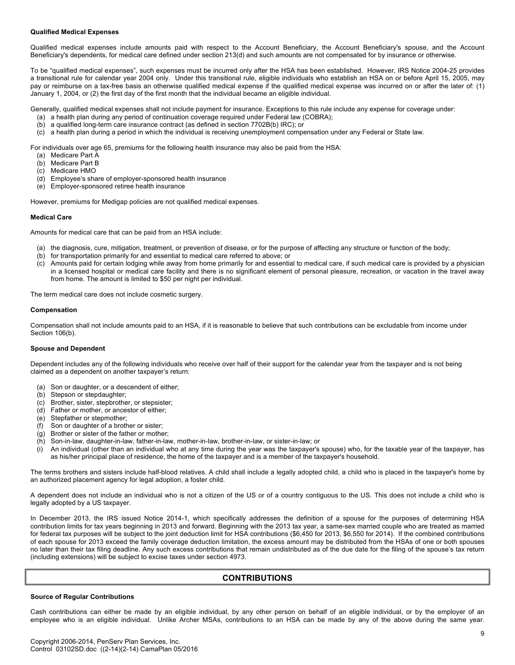# **Qualified Medical Expenses**

Qualified medical expenses include amounts paid with respect to the Account Beneficiary, the Account Beneficiary's spouse, and the Account Beneficiary's dependents, for medical care defined under section 213(d) and such amounts are not compensated for by insurance or otherwise.

To be "qualified medical expenses", such expenses must be incurred only after the HSA has been established. However, IRS Notice 2004-25 provides a transitional rule for calendar year 2004 only. Under this transitional rule, eligible individuals who establish an HSA on or before April 15, 2005, may pay or reimburse on a tax-free basis an otherwise qualified medical expense if the qualified medical expense was incurred on or after the later of: (1) January 1, 2004, or (2) the first day of the first month that the individual became an eligible individual.

Generally, qualified medical expenses shall not include payment for insurance. Exceptions to this rule include any expense for coverage under:

- (a) a health plan during any period of continuation coverage required under Federal law (COBRA);
- (b) a qualified long-term care insurance contract (as defined in section 7702B(b) IRC); or
- (c) a health plan during a period in which the individual is receiving unemployment compensation under any Federal or State law.

For individuals over age 65, premiums for the following health insurance may also be paid from the HSA:

- (a) Medicare Part A
- (b) Medicare Part B
- (c) Medicare HMO
- (d) Employee's share of employer-sponsored health insurance
- (e) Employer-sponsored retiree health insurance

However, premiums for Medigap policies are not qualified medical expenses.

# **Medical Care**

Amounts for medical care that can be paid from an HSA include:

- (a) the diagnosis, cure, mitigation, treatment, or prevention of disease, or for the purpose of affecting any structure or function of the body;
- (b) for transportation primarily for and essential to medical care referred to above; or
- (c) Amounts paid for certain lodging while away from home primarily for and essential to medical care, if such medical care is provided by a physician in a licensed hospital or medical care facility and there is no significant element of personal pleasure, recreation, or vacation in the travel away from home. The amount is limited to \$50 per night per individual.

The term medical care does not include cosmetic surgery.

## **Compensation**

Compensation shall not include amounts paid to an HSA, if it is reasonable to believe that such contributions can be excludable from income under Section 106(b).

#### **Spouse and Dependent**

Dependent includes any of the following individuals who receive over half of their support for the calendar year from the taxpayer and is not being claimed as a dependent on another taxpayer's return:

- (a) Son or daughter, or a descendent of either;
- (b) Stepson or stepdaughter;
- (c) Brother, sister, stepbrother, or stepsister;
- (d) Father or mother, or ancestor of either;
- (e) Stepfather or stepmother;
- (f) Son or daughter of a brother or sister;
- (g) Brother or sister of the father or mother;
- (h) Son-in-law, daughter-in-law, father-in-law, mother-in-law, brother-in-law, or sister-in-law; or
- (i) An individual (other than an individual who at any time during the year was the taxpayer's spouse) who, for the taxable year of the taxpayer, has as his/her principal place of residence, the home of the taxpayer and is a member of the taxpayer's household.

The terms brothers and sisters include half-blood relatives. A child shall include a legally adopted child, a child who is placed in the taxpayer's home by an authorized placement agency for legal adoption, a foster child.

A dependent does not include an individual who is not a citizen of the US or of a country contiguous to the US. This does not include a child who is legally adopted by a US taxpayer.

In December 2013, the IRS issued Notice 2014-1, which specifically addresses the definition of a spouse for the purposes of determining HSA contribution limits for tax years beginning in 2013 and forward. Beginning with the 2013 tax year, a same-sex married couple who are treated as married for federal tax purposes will be subject to the joint deduction limit for HSA contributions (\$6,450 for 2013, \$6,550 for 2014). If the combined contributions of each spouse for 2013 exceed the family coverage deduction limitation, the excess amount may be distributed from the HSAs of one or both spouses no later than their tax filing deadline. Any such excess contributions that remain undistributed as of the due date for the filing of the spouse's tax return (including extensions) will be subject to excise taxes under section 4973.

# **CONTRIBUTIONS**

#### **Source of Regular Contributions**

Cash contributions can either be made by an eligible individual, by any other person on behalf of an eligible individual, or by the employer of an employee who is an eligible individual. Unlike Archer MSAs, contributions to an HSA can be made by any of the above during the same year.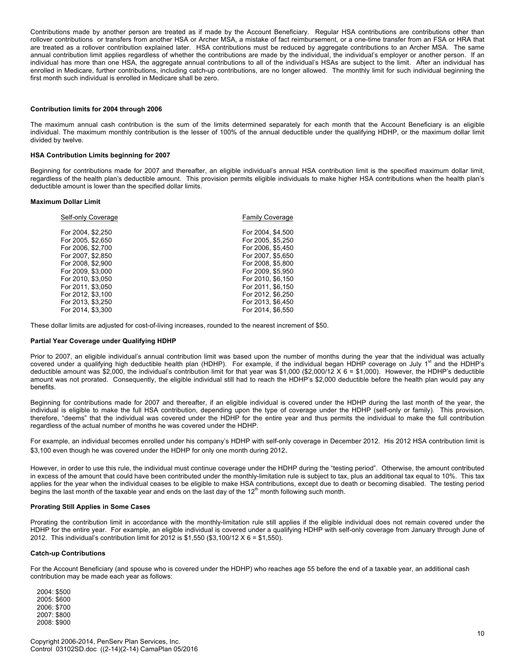Contributions made by another person are treated as if made by the Account Beneficiary. Regular HSA contributions are contributions other than rollover contributions or transfers from another HSA or Archer MSA, a mistake of fact reimbursement, or a one-time transfer from an FSA or HRA that are treated as a rollover contribution explained later. HSA contributions must be reduced by aggregate contributions to an Archer MSA. The same annual contribution limit applies regardless of whether the contributions are made by the individual, the individual's employer or another person. If an individual has more than one HSA, the aggregate annual contributions to all of the individual's HSAs are subject to the limit. After an individual has enrolled in Medicare, further contributions, including catch-up contributions, are no longer allowed. The monthly limit for such individual beginning the first month such individual is enrolled in Medicare shall be zero.

#### **Contribution limits for 2004 through 2006**

The maximum annual cash contribution is the sum of the limits determined separately for each month that the Account Beneficiary is an eligible individual. The maximum monthly contribution is the lesser of 100% of the annual deductible under the qualifying HDHP, or the maximum dollar limit divided by twelve.

## **HSA Contribution Limits beginning for 2007**

Beginning for contributions made for 2007 and thereafter, an eligible individual's annual HSA contribution limit is the specified maximum dollar limit, regardless of the health plan's deductible amount. This provision permits eligible individuals to make higher HSA contributions when the health plan's deductible amount is lower than the specified dollar limits.

#### **Maximum Dollar Limit**

| Self-only Coverage | <b>Family Coverage</b> |
|--------------------|------------------------|
| For 2004, \$2,250  | For 2004, \$4,500      |
| For 2005, \$2,650  | For 2005, \$5,250      |
| For 2006, \$2,700  | For 2006, \$5,450      |
| For 2007, \$2,850  | For 2007, \$5,650      |
| For 2008, \$2,900  | For 2008, \$5,800      |
| For 2009, \$3,000  | For 2009, \$5,950      |
| For 2010, \$3,050  | For 2010, \$6,150      |
| For 2011, \$3,050  | For 2011, \$6,150      |
| For 2012, \$3.100  | For 2012, \$6.250      |
| For 2013, \$3,250  | For 2013, \$6,450      |
| For 2014, \$3.300  | For 2014, \$6,550      |
|                    |                        |

These dollar limits are adjusted for cost-of-living increases, rounded to the nearest increment of \$50.

#### **Partial Year Coverage under Qualifying HDHP**

Prior to 2007, an eligible individual's annual contribution limit was based upon the number of months during the year that the individual was actually covered under a qualifying high deductible health plan (HDHP). For example, if the individual began HDHP coverage on July 1<sup>st</sup> and the HDHP's deductible amount was \$2,000, the individual's contribution limit for that year was \$1,000 (\$2,000/12  $X$  6 = \$1,000). However, the HDHP's deductible amount was not prorated. Consequently, the eligible individual still had to reach the HDHP's \$2,000 deductible before the health plan would pay any benefits.

Beginning for contributions made for 2007 and thereafter, if an eligible individual is covered under the HDHP during the last month of the year, the individual is eligible to make the full HSA contribution, depending upon the type of coverage under the HDHP (self-only or family). This provision, therefore, "deems" that the individual was covered under the HDHP for the entire year and thus permits the individual to make the full contribution regardless of the actual number of months he was covered under the HDHP.

For example, an individual becomes enrolled under his company's HDHP with self-only coverage in December 2012. His 2012 HSA contribution limit is \$3,100 even though he was covered under the HDHP for only one month during 2012.

However, in order to use this rule, the individual must continue coverage under the HDHP during the "testing period". Otherwise, the amount contributed in excess of the amount that could have been contributed under the monthly-limitation rule is subject to tax, plus an additional tax equal to 10%. This tax applies for the year when the individual ceases to be eligible to make HSA contributions, except due to death or becoming disabled. The testing period begins the last month of the taxable year and ends on the last day of the  $12<sup>th</sup>$  month following such month.

#### **Prorating Still Applies in Some Cases**

Prorating the contribution limit in accordance with the monthly-limitation rule still applies if the eligible individual does not remain covered under the HDHP for the entire year. For example, an eligible individual is covered under a qualifying HDHP with self-only coverage from January through June of 2012. This individual's contribution limit for 2012 is \$1,550 (\$3,100/12 X 6 = \$1,550).

#### **Catch-up Contributions**

For the Account Beneficiary (and spouse who is covered under the HDHP) who reaches age 55 before the end of a taxable year, an additional cash contribution may be made each year as follows:

2004: \$500 2005: \$600 2006: \$700 2007: \$800 2008: \$900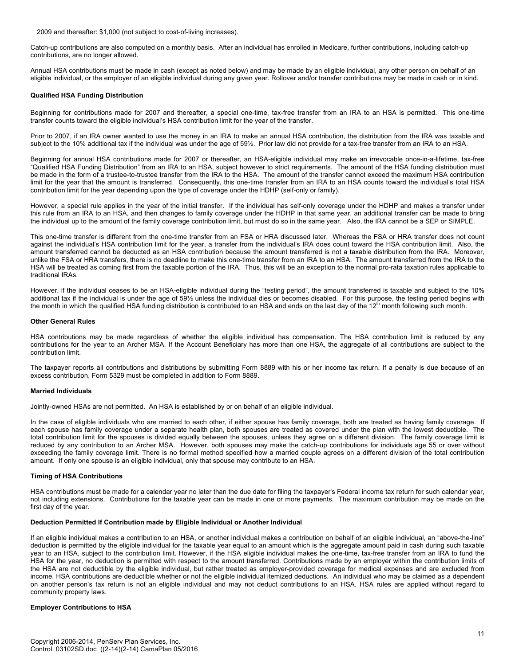2009 and thereafter: \$1,000 (not subject to cost-of-living increases).

Catch-up contributions are also computed on a monthly basis. After an individual has enrolled in Medicare, further contributions, including catch-up contributions, are no longer allowed.

Annual HSA contributions must be made in cash (except as noted below) and may be made by an eligible individual, any other person on behalf of an eligible individual, or the employer of an eligible individual during any given year. Rollover and/or transfer contributions may be made in cash or in kind.

# **Qualified HSA Funding Distribution**

Beginning for contributions made for 2007 and thereafter, a special one-time, tax-free transfer from an IRA to an HSA is permitted. This one-time transfer counts toward the eligible individual's HSA contribution limit for the year of the transfer.

Prior to 2007, if an IRA owner wanted to use the money in an IRA to make an annual HSA contribution, the distribution from the IRA was taxable and subject to the 10% additional tax if the individual was under the age of 59%. Prior law did not provide for a tax-free transfer from an IRA to an HSA.

Beginning for annual HSA contributions made for 2007 or thereafter, an HSA-eligible individual may make an irrevocable once-in-a-lifetime, tax-free "Qualified HSA Funding Distribution" from an IRA to an HSA, subject however to strict requirements. The amount of the HSA funding distribution must be made in the form of a trustee-to-trustee transfer from the IRA to the HSA. The amount of the transfer cannot exceed the maximum HSA contribution limit for the year that the amount is transferred. Consequently, this one-time transfer from an IRA to an HSA counts toward the individual's total HSA contribution limit for the year depending upon the type of coverage under the HDHP (self-only or family).

However, a special rule applies in the year of the initial transfer. If the individual has self-only coverage under the HDHP and makes a transfer under this rule from an IRA to an HSA, and then changes to family coverage under the HDHP in that same year, an additional transfer can be made to bring the individual up to the amount of the family coverage contribution limit, but must do so in the same year. Also, the IRA cannot be a SEP or SIMPLE.

This one-time transfer is different from the one-time transfer from an FSA or HRA discussed later. Whereas the FSA or HRA transfer does not count against the individual's HSA contribution limit for the year, a transfer from the individual's IRA does count toward the HSA contribution limit. Also, the amount transferred cannot be deducted as an HSA contribution because the amount transferred is not a taxable distribution from the IRA. Moreover, unlike the FSA or HRA transfers, there is no deadline to make this one-time transfer from an IRA to an HSA. The amount transferred from the IRA to the HSA will be treated as coming first from the taxable portion of the IRA. Thus, this will be an exception to the normal pro-rata taxation rules applicable to traditional IRAs.

However, if the individual ceases to be an HSA-eligible individual during the "testing period", the amount transferred is taxable and subject to the 10% additional tax if the individual is under the age of 59½ unless the individual dies or becomes disabled. For this purpose, the testing period begins with<br>the month in which the qualified HSA funding distribution is contri

## **Other General Rules**

HSA contributions may be made regardless of whether the eligible individual has compensation. The HSA contribution limit is reduced by any contributions for the year to an Archer MSA. If the Account Beneficiary has more than one HSA, the aggregate of all contributions are subject to the contribution limit.

The taxpayer reports all contributions and distributions by submitting Form 8889 with his or her income tax return. If a penalty is due because of an excess contribution, Form 5329 must be completed in addition to Form 8889.

# **Married Individuals**

Jointly-owned HSAs are not permitted. An HSA is established by or on behalf of an eligible individual.

In the case of eligible individuals who are married to each other, if either spouse has family coverage, both are treated as having family coverage. If each spouse has family coverage under a separate health plan, both spouses are treated as covered under the plan with the lowest deductible. The total contribution limit for the spouses is divided equally between the spouses, unless they agree on a different division. The family coverage limit is reduced by any contribution to an Archer MSA. However, both spouses may make the catch-up contributions for individuals age 55 or over without exceeding the family coverage limit. There is no formal method specified how a married couple agrees on a different division of the total contribution amount. If only one spouse is an eligible individual, only that spouse may contribute to an HSA.

# **Timing of HSA Contributions**

HSA contributions must be made for a calendar year no later than the due date for filing the taxpayer's Federal income tax return for such calendar year, not including extensions. Contributions for the taxable year can be made in one or more payments. The maximum contribution may be made on the first day of the year.

# **Deduction Permitted If Contribution made by Eligible Individual or Another Individual**

If an eligible individual makes a contribution to an HSA, or another individual makes a contribution on behalf of an eligible individual, an "above-the-line" deduction is permitted by the eligible individual for the taxable year equal to an amount which is the aggregate amount paid in cash during such taxable year to an HSA, subject to the contribution limit. However, if the HSA eligible individual makes the one-time, tax-free transfer from an IRA to fund the HSA for the year, no deduction is permitted with respect to the amount transferred. Contributions made by an employer within the contribution limits of the HSA are not deductible by the eligible individual, but rather treated as employer-provided coverage for medical expenses and are excluded from income. HSA contributions are deductible whether or not the eligible individual itemized deductions. An individual who may be claimed as a dependent on another person's tax return is not an eligible individual and may not deduct contributions to an HSA. HSA rules are applied without regard to community property laws.

# **Employer Contributions to HSA**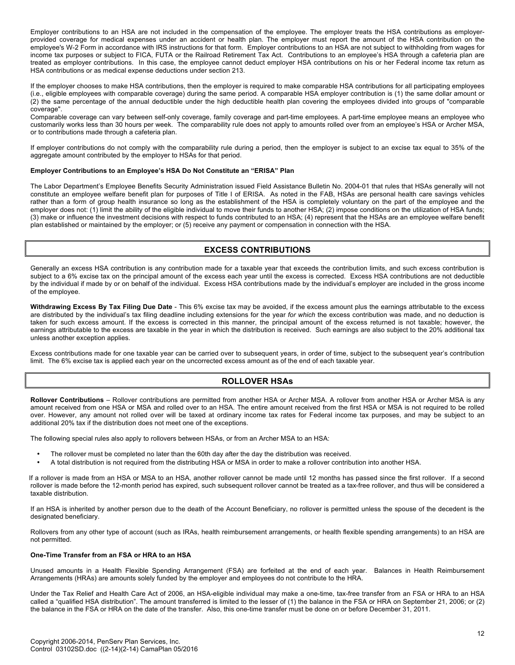Employer contributions to an HSA are not included in the compensation of the employee. The employer treats the HSA contributions as employerprovided coverage for medical expenses under an accident or health plan. The employer must report the amount of the HSA contribution on the employee's W-2 Form in accordance with IRS instructions for that form. Employer contributions to an HSA are not subject to withholding from wages for income tax purposes or subject to FICA, FUTA or the Railroad Retirement Tax Act. Contributions to an employee's HSA through a cafeteria plan are treated as employer contributions. In this case, the employee cannot deduct employer HSA contributions on his or her Federal income tax return as HSA contributions or as medical expense deductions under section 213.

If the employer chooses to make HSA contributions, then the employer is required to make comparable HSA contributions for all participating employees (i.e., eligible employees with comparable coverage) during the same period. A comparable HSA employer contribution is (1) the same dollar amount or (2) the same percentage of the annual deductible under the high deductible health plan covering the employees divided into groups of "comparable coverage".

Comparable coverage can vary between self-only coverage, family coverage and part-time employees. A part-time employee means an employee who customarily works less than 30 hours per week. The comparability rule does not apply to amounts rolled over from an employee's HSA or Archer MSA, or to contributions made through a cafeteria plan.

If employer contributions do not comply with the comparability rule during a period, then the employer is subject to an excise tax equal to 35% of the aggregate amount contributed by the employer to HSAs for that period.

# **Employer Contributions to an Employee's HSA Do Not Constitute an "ERISA" Plan**

The Labor Department's Employee Benefits Security Administration issued Field Assistance Bulletin No. 2004-01 that rules that HSAs generally will not constitute an employee welfare benefit plan for purposes of Title I of ERISA. As noted in the FAB, HSAs are personal health care savings vehicles rather than a form of group health insurance so long as the establishment of the HSA is completely voluntary on the part of the employee and the employer does not: (1) limit the ability of the eligible individual to move their funds to another HSA; (2) impose conditions on the utilization of HSA funds; (3) make or influence the investment decisions with respect to funds contributed to an HSA; (4) represent that the HSAs are an employee welfare benefit plan established or maintained by the employer; or (5) receive any payment or compensation in connection with the HSA.

# **EXCESS CONTRIBUTIONS**

Generally an excess HSA contribution is any contribution made for a taxable year that exceeds the contribution limits, and such excess contribution is subject to a 6% excise tax on the principal amount of the excess each year until the excess is corrected. Excess HSA contributions are not deductible by the individual if made by or on behalf of the individual. Excess HSA contributions made by the individual's employer are included in the gross income of the employee.

**Withdrawing Excess By Tax Filing Due Date** - This 6% excise tax may be avoided, if the excess amount plus the earnings attributable to the excess are distributed by the individual's tax filing deadline including extensions for the year *for which* the excess contribution was made, and no deduction is taken for such excess amount. If the excess is corrected in this manner, the principal amount of the excess returned is not taxable; however, the earnings attributable to the excess are taxable in the year in which the distribution is received. Such earnings are also subject to the 20% additional tax unless another exception applies.

Excess contributions made for one taxable year can be carried over to subsequent years, in order of time, subject to the subsequent year's contribution limit. The 6% excise tax is applied each year on the uncorrected excess amount as of the end of each taxable year.

# **ROLLOVER HSAs**

**Rollover Contributions** – Rollover contributions are permitted from another HSA or Archer MSA. A rollover from another HSA or Archer MSA is any amount received from one HSA or MSA and rolled over to an HSA. The entire amount received from the first HSA or MSA is not required to be rolled over. However, any amount not rolled over will be taxed at ordinary income tax rates for Federal income tax purposes, and may be subject to an additional 20% tax if the distribution does not meet one of the exceptions.

The following special rules also apply to rollovers between HSAs, or from an Archer MSA to an HSA:

- The rollover must be completed no later than the 60th day after the day the distribution was received.
- A total distribution is not required from the distributing HSA or MSA in order to make a rollover contribution into another HSA.

If a rollover is made from an HSA or MSA to an HSA, another rollover cannot be made until 12 months has passed since the first rollover. If a second rollover is made before the 12-month period has expired, such subsequent rollover cannot be treated as a tax-free rollover, and thus will be considered a taxable distribution.

If an HSA is inherited by another person due to the death of the Account Beneficiary, no rollover is permitted unless the spouse of the decedent is the designated beneficiary.

Rollovers from any other type of account (such as IRAs, health reimbursement arrangements, or health flexible spending arrangements) to an HSA are not permitted.

# **One-Time Transfer from an FSA or HRA to an HSA**

Unused amounts in a Health Flexible Spending Arrangement (FSA) are forfeited at the end of each year. Balances in Health Reimbursement Arrangements (HRAs) are amounts solely funded by the employer and employees do not contribute to the HRA.

Under the Tax Relief and Health Care Act of 2006, an HSA-eligible individual may make a one-time, tax-free transfer from an FSA or HRA to an HSA called a "qualified HSA distribution". The amount transferred is limited to the lesser of (1) the balance in the FSA or HRA on September 21, 2006; or (2) the balance in the FSA or HRA on the date of the transfer. Also, this one-time transfer must be done on or before December 31, 2011.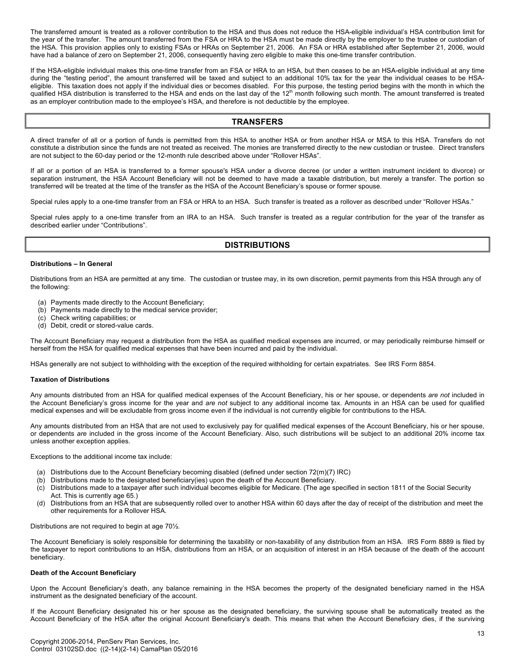The transferred amount is treated as a rollover contribution to the HSA and thus does not reduce the HSA-eligible individual's HSA contribution limit for the year of the transfer. The amount transferred from the FSA or HRA to the HSA must be made directly by the employer to the trustee or custodian of the HSA. This provision applies only to existing FSAs or HRAs on September 21, 2006. An FSA or HRA established after September 21, 2006, would have had a balance of zero on September 21, 2006, consequently having zero eligible to make this one-time transfer contribution.

If the HSA-eligible individual makes this one-time transfer from an FSA or HRA to an HSA, but then ceases to be an HSA-eligible individual at any time during the "testing period", the amount transferred will be taxed and subject to an additional 10% tax for the year the individual ceases to be HSAeligible. This taxation does not apply if the individual dies or becomes disabled. For this purpose, the testing period begins with the month in which the qualified HSA distribution is transferred to the HSA and ends on the last day of the  $12<sup>th</sup>$  month following such month. The amount transferred is treated as an employer contribution made to the employee's HSA, and therefore is not deductible by the employee.

# **TRANSFERS**

A direct transfer of all or a portion of funds is permitted from this HSA to another HSA or from another HSA or MSA to this HSA. Transfers do not constitute a distribution since the funds are not treated as received. The monies are transferred directly to the new custodian or trustee. Direct transfers are not subject to the 60-day period or the 12-month rule described above under "Rollover HSAs".

If all or a portion of an HSA is transferred to a former spouse's HSA under a divorce decree (or under a written instrument incident to divorce) or separation instrument, the HSA Account Beneficiary will not be deemed to have made a taxable distribution, but merely a transfer. The portion so transferred will be treated at the time of the transfer as the HSA of the Account Beneficiary's spouse or former spouse.

Special rules apply to a one-time transfer from an FSA or HRA to an HSA. Such transfer is treated as a rollover as described under "Rollover HSAs."

Special rules apply to a one-time transfer from an IRA to an HSA. Such transfer is treated as a regular contribution for the year of the transfer as described earlier under "Contributions".

# **DISTRIBUTIONS**

#### **Distributions – In General**

Distributions from an HSA are permitted at any time. The custodian or trustee may, in its own discretion, permit payments from this HSA through any of the following:

- (a) Payments made directly to the Account Beneficiary;
- (b) Payments made directly to the medical service provider;
- (c) Check writing capabilities; or
- (d) Debit, credit or stored-value cards.

The Account Beneficiary may request a distribution from the HSA as qualified medical expenses are incurred, or may periodically reimburse himself or herself from the HSA for qualified medical expenses that have been incurred and paid by the individual.

HSAs generally are not subject to withholding with the exception of the required withholding for certain expatriates. See IRS Form 8854.

#### **Taxation of Distributions**

Any amounts distributed from an HSA for qualified medical expenses of the Account Beneficiary, his or her spouse, or dependents *are not* included in the Account Beneficiary's gross income for the year and *are not* subject to any additional income tax. Amounts in an HSA can be used for qualified medical expenses and will be excludable from gross income even if the individual is not currently eligible for contributions to the HSA.

Any amounts distributed from an HSA that are not used to exclusively pay for qualified medical expenses of the Account Beneficiary, his or her spouse, or dependents *are* included in the gross income of the Account Beneficiary. Also, such distributions will be subject to an additional 20% income tax unless another exception applies.

Exceptions to the additional income tax include:

- (a) Distributions due to the Account Beneficiary becoming disabled (defined under section 72(m)(7) IRC)
- (b) Distributions made to the designated beneficiary(ies) upon the death of the Account Beneficiary.
- (c) Distributions made to a taxpayer after such individual becomes eligible for Medicare. (The age specified in section 1811 of the Social Security Act. This is currently age 65.)
- (d) Distributions from an HSA that are subsequently rolled over to another HSA within 60 days after the day of receipt of the distribution and meet the other requirements for a Rollover HSA.

Distributions are not required to begin at age 70½.

The Account Beneficiary is solely responsible for determining the taxability or non-taxability of any distribution from an HSA. IRS Form 8889 is filed by the taxpayer to report contributions to an HSA, distributions from an HSA, or an acquisition of interest in an HSA because of the death of the account beneficiary.

# **Death of the Account Beneficiary**

Upon the Account Beneficiary's death, any balance remaining in the HSA becomes the property of the designated beneficiary named in the HSA instrument as the designated beneficiary of the account.

If the Account Beneficiary designated his or her spouse as the designated beneficiary, the surviving spouse shall be automatically treated as the Account Beneficiary of the HSA after the original Account Beneficiary's death. This means that when the Account Beneficiary dies, if the surviving